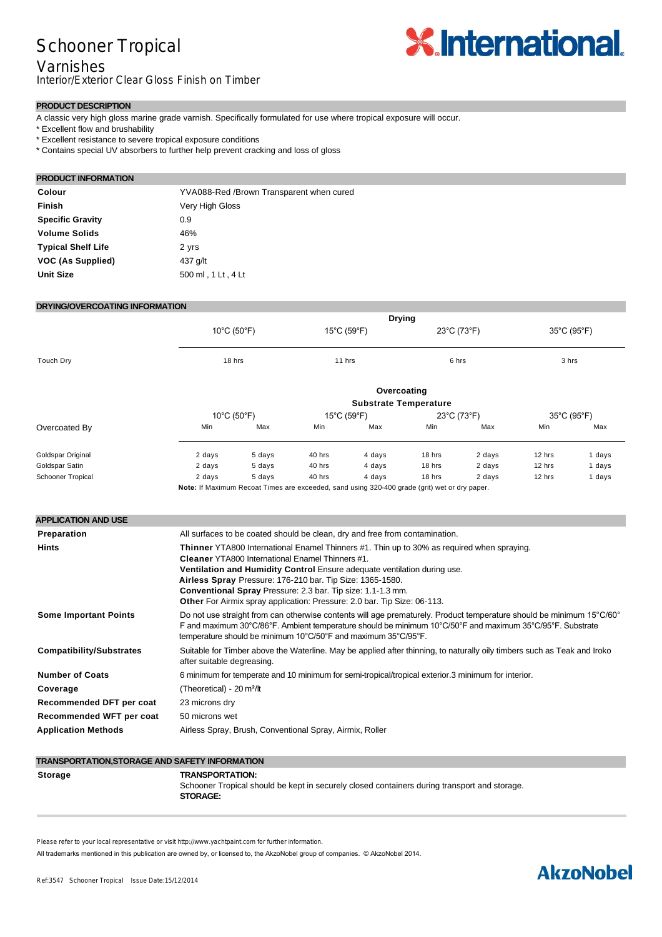## Schooner Tropical

#### Varnishes

Interior/Exterior Clear Gloss Finish on Timber

# **X.International.**

#### **PRODUCT DESCRIPTION**

A classic very high gloss marine grade varnish. Specifically formulated for use where tropical exposure will occur.

- \* Excellent flow and brushability
- \* Excellent resistance to severe tropical exposure conditions
- \* Contains special UV absorbers to further help prevent cracking and loss of gloss

#### **PRODUCT INFORMATION Colour** YVA088-Red /Brown Transparent when cured **Finish** Very High Gloss **Specific Gravity** 0.9 Volume Solids 46% **Typical Shelf Life** 2 yrs **VOC (As Supplied)** 437 g/lt **Unit Size** 500 ml , 1 Lt , 4 Lt

#### **DRYING/OVERCOATING INFORMATION**

|                                 | <b>Drying</b>                                                                                                                                                                                                                                                                                                                                                                                                                                                                                                            |        |                                              |                                                                                                         |                                           |        |                      |        |
|---------------------------------|--------------------------------------------------------------------------------------------------------------------------------------------------------------------------------------------------------------------------------------------------------------------------------------------------------------------------------------------------------------------------------------------------------------------------------------------------------------------------------------------------------------------------|--------|----------------------------------------------|---------------------------------------------------------------------------------------------------------|-------------------------------------------|--------|----------------------|--------|
|                                 | $10^{\circ}$ C (50 $^{\circ}$ F)<br>18 hrs                                                                                                                                                                                                                                                                                                                                                                                                                                                                               |        | $15^{\circ}$ C (59 $^{\circ}$ F)<br>$11$ hrs |                                                                                                         | $23^{\circ}$ C (73 $^{\circ}$ F)<br>6 hrs |        | 35°C (95°F)<br>3 hrs |        |
| Touch Dry                       |                                                                                                                                                                                                                                                                                                                                                                                                                                                                                                                          |        |                                              |                                                                                                         |                                           |        |                      |        |
|                                 | Overcoating<br><b>Substrate Temperature</b>                                                                                                                                                                                                                                                                                                                                                                                                                                                                              |        |                                              |                                                                                                         |                                           |        |                      |        |
|                                 | $10^{\circ}$ C (50 $^{\circ}$ F)                                                                                                                                                                                                                                                                                                                                                                                                                                                                                         |        | $15^{\circ}$ C (59 $^{\circ}$ F)             |                                                                                                         | $23^{\circ}$ C (73 $^{\circ}$ F)          |        | 35°C (95°F)          |        |
| Overcoated By                   | Min                                                                                                                                                                                                                                                                                                                                                                                                                                                                                                                      | Max    | Min                                          | Max                                                                                                     | Min                                       | Max    | Min                  | Max    |
| Goldspar Original               | 2 days                                                                                                                                                                                                                                                                                                                                                                                                                                                                                                                   | 5 days | 40 hrs                                       | 4 days                                                                                                  | 18 hrs                                    | 2 days | 12 hrs               | 1 days |
| Goldspar Satin                  | 2 days                                                                                                                                                                                                                                                                                                                                                                                                                                                                                                                   | 5 days | 40 hrs                                       | 4 days                                                                                                  | 18 hrs                                    | 2 days | 12 hrs               | 1 days |
| <b>Schooner Tropical</b>        | 2 days                                                                                                                                                                                                                                                                                                                                                                                                                                                                                                                   | 5 days | 40 hrs                                       | 4 days<br>Note: If Maximum Recoat Times are exceeded, sand using 320-400 grade (grit) wet or dry paper. | 18 hrs                                    | 2 days | 12 hrs               | 1 days |
| Preparation<br>Hints            | All surfaces to be coated should be clean, dry and free from contamination.<br>Thinner YTA800 International Enamel Thinners #1. Thin up to 30% as required when spraying.<br>Cleaner YTA800 International Enamel Thinners #1.<br>Ventilation and Humidity Control Ensure adequate ventilation during use.<br>Airless Spray Pressure: 176-210 bar. Tip Size: 1365-1580.<br>Conventional Spray Pressure: 2.3 bar. Tip size: 1.1-1.3 mm.<br><b>Other For Airmix spray application: Pressure: 2.0 bar. Tip Size: 06-113.</b> |        |                                              |                                                                                                         |                                           |        |                      |        |
| <b>Some Important Points</b>    | Do not use straight from can otherwise contents will age prematurely. Product temperature should be minimum 15°C/60°<br>F and maximum 30°C/86°F. Ambient temperature should be minimum 10°C/50°F and maximum 35°C/95°F. Substrate<br>temperature should be minimum 10°C/50°F and maximum 35°C/95°F.                                                                                                                                                                                                                      |        |                                              |                                                                                                         |                                           |        |                      |        |
| <b>Compatibility/Substrates</b> | Suitable for Timber above the Waterline. May be applied after thinning, to naturally oily timbers such as Teak and Iroko<br>after suitable degreasing.                                                                                                                                                                                                                                                                                                                                                                   |        |                                              |                                                                                                         |                                           |        |                      |        |
| <b>Number of Coats</b>          | 6 minimum for temperate and 10 minimum for semi-tropical/tropical exterior.3 minimum for interior.                                                                                                                                                                                                                                                                                                                                                                                                                       |        |                                              |                                                                                                         |                                           |        |                      |        |
| Coverage                        | (Theoretical) - 20 m <sup>2</sup> /lt                                                                                                                                                                                                                                                                                                                                                                                                                                                                                    |        |                                              |                                                                                                         |                                           |        |                      |        |
| Recommended DFT per coat        | 23 microns dry                                                                                                                                                                                                                                                                                                                                                                                                                                                                                                           |        |                                              |                                                                                                         |                                           |        |                      |        |
| Recommended WFT per coat        | 50 microns wet                                                                                                                                                                                                                                                                                                                                                                                                                                                                                                           |        |                                              |                                                                                                         |                                           |        |                      |        |
| <b>Application Methods</b>      | Airless Spray, Brush, Conventional Spray, Airmix, Roller                                                                                                                                                                                                                                                                                                                                                                                                                                                                 |        |                                              |                                                                                                         |                                           |        |                      |        |
|                                 |                                                                                                                                                                                                                                                                                                                                                                                                                                                                                                                          |        |                                              |                                                                                                         |                                           |        |                      |        |

#### **TRANSPORTATION,STORAGE AND SAFETY INFORMATION Storage TRANSPORTATION:** Schooner Tropical should be kept in securely closed containers during transport and storage. **STORAGE:**

Please refer to your local representative or visit http://www.yachtpaint.com for further information.

All trademarks mentioned in this publication are owned by, or licensed to, the AkzoNobel group of companies. © AkzoNobel 2014.

## **AkzoNobel**